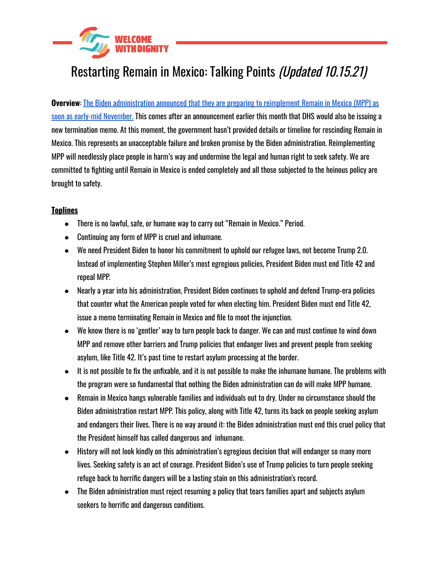

# Restarting Remain in Mexico: Talking Points (Updated 10.15.21)

**Overview**: The Biden [administration](https://www.cbsnews.com/news/u-s-prepared-to-restart-remain-in-mexico-border-policy-in-november/) announced that they are preparing to reimplement Remain in Mexico (MPP) as soon as early-mid [November.](https://www.cbsnews.com/news/u-s-prepared-to-restart-remain-in-mexico-border-policy-in-november/) This comes after an announcement earlier this month that DHS would also be issuing a new termination memo. At this moment, the government hasn't provided details or timeline for rescinding Remain in Mexico. This represents an unacceptable failure and broken promise by the Biden administration. Reimplementing MPP will needlessly place people in harm's way and undermine the legal and human right to seek safety. We are committed to fighting until Remain in Mexico is ended completely and all those subjected to the heinous policy are brought to safety.

## **Toplines**

- There is no lawful, safe, or humane way to carry out "Remain in Mexico." Period.
- Continuing any form of MPP is cruel and inhumane.
- We need President Biden to honor his commitment to uphold our refugee laws, not become Trump 2.0. Instead of implementing Stephen Miller's most egregious policies, President Biden must end Title 42 and repeal MPP.
- Nearly a year into his administration, President Biden continues to uphold and defend Trump-era policies that counter what the American people voted for when electing him. President Biden must end Title 42, issue a memo terminating Remain in Mexico and file to moot the injunction.
- We know there is no 'gentler' way to turn people back to danger. We can and must continue to wind down MPP and remove other barriers and Trump policies that endanger lives and prevent people from seeking asylum, like Title 42. It's past time to restart asylum processing at the border.
- It is not possible to fix the unfixable, and it is not possible to make the inhumane humane. The problems with the program were so fundamental that nothing the Biden administration can do will make MPP humane.
- Remain in Mexico hangs vulnerable families and individuals out to dry. Under no circumstance should the Biden administration restart MPP. This policy, along with Title 42, turns its back on people seeking asylum and endangers their lives. There is no way around it: the Biden administration must end this cruel policy that the President himself has called dangerous and inhumane.
- History will not look kindly on this administration's egregious decision that will endanger so many more lives. Seeking safety is an act of courage. President Biden's use of Trump policies to turn people seeking refuge back to horrific dangers will be a lasting stain on this administration's record.
- The Biden administration must reject resuming a policy that tears families apart and subjects asylum seekers to horrific and dangerous conditions.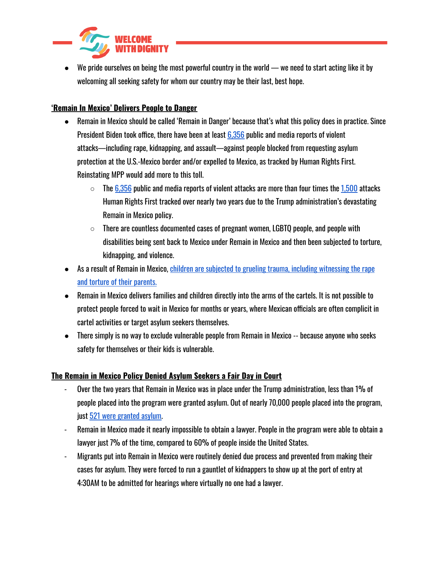

We pride ourselves on being the most powerful country in the world — we need to start acting like it by welcoming all seeking safety for whom our country may be their last, best hope.

# **'Remain In Mexico' Delivers People to Danger**

- Remain in Mexico should be called 'Remain in Danger' because that's what this policy does in practice. Since President Biden took office, there have been at least [6,356](https://www.humanrightsfirst.org/sites/default/files/AttacksonAsylumSeekersStrandedinMexicoDuringBidenAdministration.8.23.2021.pdf) public and media reports of violent attacks—including rape, kidnapping, and assault—against people blocked from requesting asylum protection at the U.S.-Mexico border and/or expelled to Mexico, as tracked by Human Rights First. Reinstating MPP would add more to this toll.
	- $\circ$  The [6,356](https://www.humanrightsfirst.org/sites/default/files/AttacksonAsylumSeekersStrandedinMexicoDuringBidenAdministration.8.23.2021.pdf) public and media reports of violent attacks are more than four times the [1,500](https://www.humanrightsfirst.org/sites/default/files/PubliclyReportedMPPAttacks2.19.2021.pdf) attacks Human Rights First tracked over nearly two years due to the Trump administration's devastating Remain in Mexico policy.
	- $\circ$  There are countless documented cases of pregnant women, LGBTQ people, and people with disabilities being sent back to Mexico under Remain in Mexico and then been subjected to torture, kidnapping, and violence.
- As a result of Remain in Mexico, children are subjected to grueling trauma, including [witnessing](https://www.nytimes.com/2019/12/21/us/border-migrants-kidnapping-mexico.html?action=click&module=Top%20Stories&pgtype=Homepage) the rape and torture of their [parents.](https://www.nytimes.com/2019/12/21/us/border-migrants-kidnapping-mexico.html?action=click&module=Top%20Stories&pgtype=Homepage)
- Remain in Mexico delivers families and children directly into the arms of the cartels. It is not possible to protect people forced to wait in Mexico for months or years, where Mexican officials are often complicit in cartel activities or target asylum seekers themselves.
- There simply is no way to exclude vulnerable people from Remain in Mexico -- because anyone who seeks safety for themselves or their kids is vulnerable.

#### **The Remain in Mexico Policy Denied Asylum Seekers a Fair Day in Court**

- Over the two years that Remain in Mexico was in place under the Trump administration, less than 1% of people placed into the program were granted asylum. Out of nearly 70,000 people placed into the program, just 521 were [granted](https://www.americanimmigrationcouncil.org/research/migrant-protection-protocols) asylum.
- Remain in Mexico made it nearly impossible to obtain a lawyer. People in the program were able to obtain a lawyer just 7% of the time, compared to 60% of people inside the United States.
- Migrants put into Remain in Mexico were routinely denied due process and prevented from making their cases for asylum. They were forced to run a gauntlet of kidnappers to show up at the port of entry at 4:30AM to be admitted for hearings where virtually no one had a lawyer.